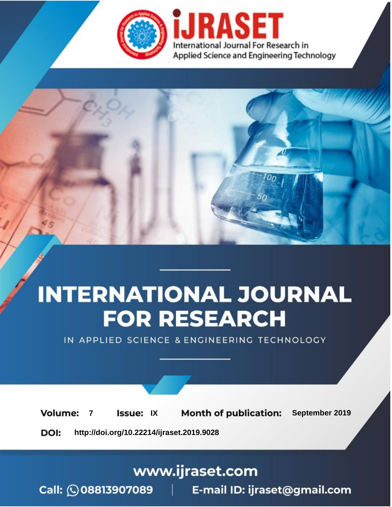

# **INTERNATIONAL JOURNAL FOR RESEARCH**

IN APPLIED SCIENCE & ENGINEERING TECHNOLOGY

**Month of publication: Volume: Issue: IX** September 2019  $\overline{7}$ DOI: http://doi.org/10.22214/ijraset.2019.9028

www.ijraset.com

 $Call: \bigcirc$ 08813907089 E-mail ID: ijraset@gmail.com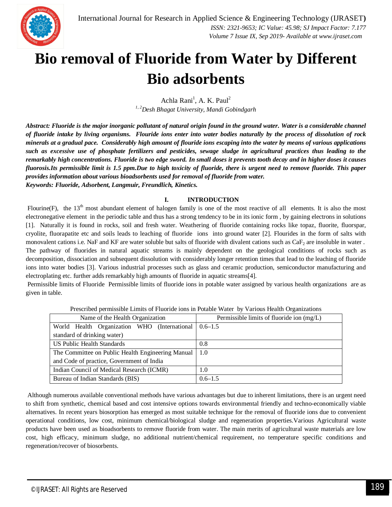

### **Bio removal of Fluoride from Water by Different Bio adsorbents**

Achla Rani<sup>1</sup>, A. K. Paul<sup>2</sup> *1, 2Desh Bhagat University, Mandi Gobindgarh*

*Abstract: Fluoride is the major inorganic pollutant of natural origin found in the ground water. Water is a considerable channel of fluoride intake by living organisms. Flouride ions enter into water bodies naturally by the process of dissolution of rock minerals at a gradual pace. Considerably high amount of flouride ions escaping into the water by means of various applications such as excessive use of phosphate fertilizers and pesticides, sewage sludge in agricultural practices thus leading to the remarkably high concentrations. Fluoride is two edge sword. In small doses it prevents tooth decay and in higher doses it causes fluorosis.Its permissible limit is 1.5 ppm.Due to high toxicity of fluoride, there is urgent need to remove fluoride. This paper provides information about various bioadsorbents used for removal of fluoride from water. Keywords: Fluoride, Adsorbent, Langmuir, Freundlich, Kinetics.*

#### **I. INTRODUCTION**

Flourine(F), the  $13<sup>th</sup>$  most abundant element of halogen family is one of the most reactive of all elements. It is also the most electronegative element in the periodic table and thus has a strong tendency to be in its ionic form , by gaining electrons in solutions [1]. Naturally it is found in rocks, soil and fresh water. Weathering of fluoride containing rocks like topaz, fluorite, fluorspar, cryolite, fluorapatite etc and soils leads to leaching of fluoride ions into ground water [2]. Flourides in the form of salts with monovalent cations i.e. NaF and KF are water soluble but salts of fluoride with divalent cations such as CaF<sub>2</sub> are insoluble in water. The pathway of fluorides in natural aquatic streams is mainly dependent on the geological conditions of rocks such as decomposition, dissociation and subsequent dissolution with considerably longer retention times that lead to the leaching of fluoride ions into water bodies [3]. Various industrial processes such as glass and ceramic production, semiconductor manufacturing and electroplating etc. further adds remarkably high amounts of fluoride in aquatic streams[4].

Permissible limits of Fluoride Permissible limits of fluoride ions in potable water assigned by various health organizations are as given in table.

| Name of the Health Organization                   | Permissible limits of fluoride ion (mg/L) |
|---------------------------------------------------|-------------------------------------------|
| World Health Organization WHO (International      | $0.6 - 1.5$                               |
| standard of drinking water)                       |                                           |
| US Public Health Standards                        | 0.8                                       |
| The Committee on Public Health Engineering Manual | 1.0                                       |
| and Code of practice, Government of India         |                                           |
| Indian Council of Medical Research (ICMR)         | 1.0                                       |
| Bureau of Indian Standards (BIS)                  | $0.6 - 1.5$                               |

Prescribed permissible Limits of Fluoride ions in Potable Water by Various Health Organizations

Although numerous available conventional methods have various advantages but due to inherent limitations, there is an urgent need to shift from synthetic, chemical based and cost intensive options towards environmental friendly and techno-economically viable alternatives. In recent years biosorption has emerged as most suitable technique for the removal of fluoride ions due to convenient operational conditions, low cost, minimum chemical/biological sludge and regeneration properties.Various Agricultural waste products have been used as bioadsorbents to remove fluoride from water. The main merits of agricultural waste materials are low cost, high efficacy, minimum sludge, no additional nutrient/chemical requirement, no temperature specific conditions and regeneration/recover of biosorbents.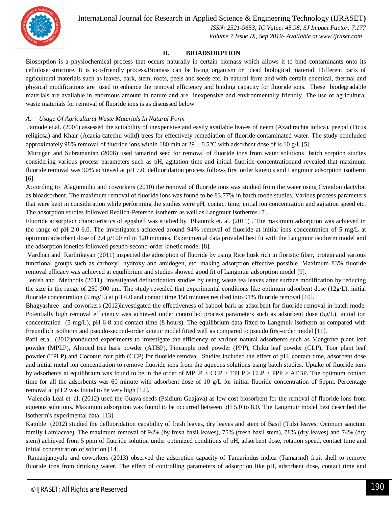

 *ISSN: 2321-9653; IC Value: 45.98; SJ Impact Factor: 7.177 Volume 7 Issue IX, Sep 2019- Available at www.ijraset.com*

#### **II. BIOADSORPTION**

Biosorption is a physiochemical process that occurs naturally in certain biomass which allows it to bind contaminants onto its cellulose structure. It is eco-friendly process.Biomass can be living organism or dead biological material. Different parts of agricultural materials such as leaves, bark, stem, roots, peels and seeds etc. in natural form and with certain chemical, thermal and physical modifications are used to enhance the removal efficiency and binding capacity for fluoride ions. These biodegradable materials are available in enormous amount in nature and are inexpensive and environmentally friendly. The use of agricultural waste materials for removal of fluoride ions is as discussed below.

#### *A. Usage Of Agricultural Waste Materials In Natural Form*

Jamode et.al. (2004) assessed the suitability of inexpensive and easily available leaves of neem (Azadirachta indica), peepal (Ficus religiosa) and Khair (Acacia catechu willd) trees for effectively remediation of fluoride-contaminated water. The study concluded approximately 98% removal of fluoride ions within 180 min at  $29 \pm 0.5^{\circ}$ C with adsorbent dose of is 10 g/L [5].

Murugan and Subramanian (2006) used tamarind seed for removal of fluoride ions from water solutions batch sorption studies considering various process parameters such as pH, agitation time and initial fluoride concentrationand revealed that maximum fluoride removal was 90% achieved at pH 7.0, defluoridation process follows first order kinetics and Langmuir adsorption isotherm [6].

According to Alagumuthu and coworkers (2010) the removal of fluoride ions was studied from the water using Cynodon dactylon as bioadsorbent. The maximum removal of fluoride ions was found to be 83.77% in batch mode studies. Various process parameters that were kept in consideration while performing the studies were pH, contact time, initial ion concentration and agitation speed etc. The adsorption studies followed Redlich-Peterson isotherm as well as Langmuir isotherms [7].

Fluoride adsorption characteristics of eggshell was studied by Bhaumik et. al. (2011) . The maximum adsorption was achieved in the range of pH 2.0-6.0. The investigators achieved around 94% removal of fluoride at initial ions concentration of 5 mg/L at optimum adsorbent dose of 2.4 g/100 ml in 120 minutes. Experimental data provided best fit with the Langmuir isotherm model and the adsorption kinetics followed pseudo-second-order kinetic model [8].

Vardhan and Karthikeyan (2011) inspected the adosrption of fluoride by using Rice husk rich in floristic fiber, protein and various functional groups such as carboxyl, hydroxy and amidogen, etc. making adsorption effective possible. Maximum 83% fluoride removal efficacy was achieved at equilibrium and studies showed good fit of Langmuir adsorption model [9].

Jenish and Methodis (2011) investigated defluoridation studies by using waste tea leaves after surface modification by reducing the size in the range of 250-500 μm. The study revealed that experimental conditions like optimum adsorbent dose (12g/L), initial fluoride concentration (5 mg/L) at pH 6.0 and contact time 150 minutes resulted into 91% fluoride removal [10].

Bhagyashree and coworkers (2012)investigated the effectiveness of babool bark as adsorbent for fluoride removal in batch mode. Potentially high removal efficiency was achieved under controlled process parameters such as adsorbent dose (5g/L), initial ion concentration (5 mg/L), pH 6-8 and contact time (8 hours). The equilibrium data fitted to Langmuir isotherm as compared with Freundlich isotherm and pseudo-second-order kinetic model fitted well as compared to pseudo first-order model [11].

Patil et.al. (2012)conducted experiments to investigate the efficiency of various natural adsorbents such as Mangrove plant leaf powder (MPLP), Almond tree bark powder (ATBP), Pineapple peel powder (PPP), Chiku leaf powder (CLP), Toor plant leaf powder (TPLP) and Coconut coir pith (CCP) for fluoride removal. Studies included the effect of pH, contact time, adsorbent dose and initial metal ion concentration to remove fluoride ions from the aqueous solutions using batch studies. Uptake of fluoride ions by adsorbents at equilibrium was found to be in the order of MPLP > CCP > TPLP > CLP > PPP > ATBP. The optimum contact time for all the adsorbents was 60 minute with adsorbent dose of 10 g/L for initial fluoride concentration of 5ppm. Percentage removal at pH 2 was found to be very high [12].

Valencia-Leal et. al. (2012) used the Guava seeds (Psidium Guajava) as low cost biosorbent for the removal of fluoride ions from aqueous solutions. Maximum adsorption was found to be occurred between pH 5.0 to 8.0. The Langmuir model best described the isotherm's experimental data. [13].

Kamble (2012) studied the defluoridation capability of fresh leaves, dry leaves and stem of Basil (Tulsi leaves; Ocimum sanctum family Lamiaceae). The maximum removal of 94% (by fresh basil leaves), 75% (fresh basil stem), 78% (dry leaves) and 74% (dry stem) achieved from 5 ppm of fluoride solution under optimized conditions of pH, adsorbent dose, rotation speed, contact time and initial concentration of solution [14].

Ramanjaneyulu and coworkers (2013) observed the adsorption capacity of Tamarindus indica (Tamarind) fruit shell to remove fluoride ions from drinking water. The effect of controlling parameters of adsorption like pH, adsorbent dose, contact time and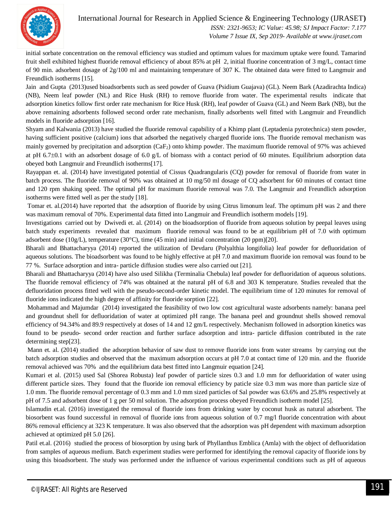

 *ISSN: 2321-9653; IC Value: 45.98; SJ Impact Factor: 7.177 Volume 7 Issue IX, Sep 2019- Available at www.ijraset.com*

initial sorbate concentration on the removal efficiency was studied and optimum values for maximum uptake were found. Tamarind fruit shell exhibited highest fluoride removal efficiency of about 85% at pH 2, initial fluorine concentration of 3 mg/L, contact time of 90 min. adsorbent dosage of 2g/100 ml and maintaining temperature of 307 K. The obtained data were fitted to Langmuir and Freundlich isotherms [15].

Jain and Gupta (2013)used bioadsorbents such as seed powder of Guava (Psidium Guajava) (GL). Neem Bark (Azadirachta Indica) (NB), Neem leaf powder (NL) and Rice Husk (RH) to remove fluoride from water. The experimental results indicate that adsorption kinetics follow first order rate mechanism for Rice Husk (RH), leaf powder of Guava (GL) and Neem Bark (NB), but the above remaining adsorbents followed second order rate mechanism, finally adsorbents well fitted with Langmuir and Freundlich models in fluoride adsorption [16].

Shyam and Kalwania (2013) have studied the fluoride removal capability of a Khimp plant (Leptadenia pyrotechnica) stem powder, having sufficient positive (calcium) ions that adsorbed the negatively charged fluoride ions. The fluoride removal mechanism was mainly governed by precipitation and adsorption (CaF2) onto khimp powder. The maximum fluoride removal of 97% was achieved at pH 6.7 $\pm$ 0.1 with an adsorbent dosage of 6.0 g/L of biomass with a contact period of 60 minutes. Equilibrium adsorption data obeyed both Langmuir and Freundlich isotherms[17].

Rayappan et. al. (2014) have investigated potential of Cissus Quadrangularis (CQ) powder for removal of fluoride from water in batch process. The fluoride removal of 90% was obtained at 10 mg/50 ml dosage of CQ adsorbent for 60 minutes of contact time and 120 rpm shaking speed. The optimal pH for maximum fluoride removal was 7.0. The Langmuir and Freundlich adsorption isotherms were fitted well as per the study [18].

Tomar et. al.(2014) have reported that the adsorption of fluoride by using Citrus limonum leaf. The optimum pH was 2 and there was maximum removal of 70%. Experimental data fitted into Langmuir and Freundlich isotherm models [19].

Investigations carried out by Dwivedi et. al. (2014) on the bioadsorption of fluoride from aqueous solution by peepal leaves using batch study experiments revealed that maximum fluoride removal was found to be at equilibrium pH of 7.0 with optimum adsorbent dose (10g/L), temperature (30 $^{\circ}$ C), time (45 min) and initial concentration (20 ppm)[20].

Bharali and Bhattacharyya (2014) reported the utilization of Devdaru (Polyalthia longifolia) leaf powder for defluoridation of aqueous solutions. The bioadsorbent was found to be highly effective at pH 7.0 and maximum fluoride ion removal was found to be 77 %. Surface adsorption and intra- particle diffusion studies were also carried out [21].

Bharali and Bhattacharyya (2014) have also used Silikha (Terminalia Chebula) leaf powder for defluoridation of aqueous solutions. The fluoride removal efficiency of 74% was obtained at the natural pH of 6.8 and 303 K temperature. Studies revealed that the defluoridation process fitted well with the pseudo-second-order kinetic model. The equilibrium time of 120 minutes for removal of fluoride ions indicated the high degree of affinity for fluoride sorption [22].

Mohammad and Majumdar (2014) investigated the feasibility of two low cost agricultural waste adsorbents namely: banana peel and groundnut shell for defluoridation of water at optimized pH range. The banana peel and groundnut shells showed removal efficiency of 94.34% and 89.9 respectively at doses of 14 and 12 gm/L respectively. Mechanism followed in adsorption kinetics was found to be pseudo- second order reaction and further surface adsorption and intra- particle diffusion contributed in the rate determining step[23].

Mann et. al. (2014) studied the adsorption behavior of saw dust to remove fluoride ions from water streams by carrying out the batch adsorption studies and observed that the maximum adsorption occurs at pH 7.0 at contact time of 120 min. and the fluoride removal achieved was 70% and the equilibrium data best fitted into Langmuir equation [24].

Kumari et al. (2015) used Sal (Shorea Robusta) leaf powder of particle sizes 0.3 and 1.0 mm for defluoridation of water using different particle sizes. They found that the fluoride ion removal efficiency by paticle size 0.3 mm was more than particle size of 1.0 mm. The fluoride removal percentage of 0.3 mm and 1.0 mm sized particles of Sal powder was 63.6% and 25.8% respectively at pH of 7.5 and adsorbent dose of 1 g per 50 ml solution. The adsorption process obeyed Freundlich isotherm model [25].

Islamudin et.al. (2016) investigated the removal of fluoride ions from drinking water by coconut husk as natural adsorbent. The biosorbent was found successful in removal of fluoride ions from aqueous solution of 0.7 mg/l fluoride concentration with about 86% removal efficiency at 323 K temperature. It was also observed that the adsorption was pH dependent with maximum adsorption achieved at optimized pH 5.0 [26].

Patil et.al. (2016) studied the process of biosorption by using bark of Phyllanthus Emblica (Amla) with the object of defluoridation from samples of aqueous medium. Batch experiment studies were performed for identifying the removal capacity of fluoride ions by using this bioadsorbent. The study was performed under the influence of various experimental conditions such as pH of aqueous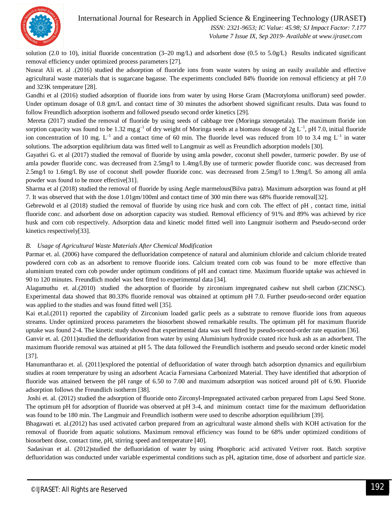

 *ISSN: 2321-9653; IC Value: 45.98; SJ Impact Factor: 7.177 Volume 7 Issue IX, Sep 2019- Available at www.ijraset.com*

solution (2.0 to 10), initial fluoride concentration (3–20 mg/L) and adsorbent dose (0.5 to 5.0g/L) Results indicated significant removal efficiency under optimized process parameters [27].

Nusrat Ali et. al .(2016) studied the adsorption of fluoride ions from waste waters by using an easily available and effective agricultural waste materials that is sugarcane bagasse. The experiments concluded 84% fluoride ion removal efficiency at pH 7.0 and 323K temperature [28].

Gandhi et al (2016) studied adsorption of fluoride ions from water by using Horse Gram (Macrotyloma uniflorum) seed powder. Under optimum dosage of 0.8 gm/L and contact time of 30 minutes the adsorbent showed significant results. Data was found to follow Freundlich adsorption isotherm and followed pseudo second order kinetics [29].

Mereta (2017) studied the removal of fluoride by using seeds of cabbage tree (Moringa stenopetala). The maximum floride ion sorption capacity was found to be 1.32 mg.g<sup>-1</sup> of dry weight of Moringa seeds at a biomass dosage of 2g L<sup>-1</sup>, pH 7.0, initial fluoride ion concentration of 10 mg.  $L^{-1}$  and a contact time of 60 min. The fluoride level was reduced from 10 to 3.4 mg  $L^{-1}$  in water solutions. The adsorption equlibrium data was fitted well to Langmuir as well as Freundlich adsorption models [30].

Gayathri G. et al (2017) studied the removal of fluoride by using amla powder, coconut shell powder, turmeric powder. By use of amla powder fluoride conc. was decreased from 2.5mg/l to 1.4mg/l.By use of turmeric powder fluoride conc. was decreased from 2.5mg/l to 1.6mg/l. By use of coconut shell powder fluoride conc. was decreased from 2.5mg/l to 1.9mg/l. So among all amla powder was found to be more effective[31].

Sharma et al (2018) studied the removal of fluoride by using Aegle marmelous(Bilva patra). Maximum adsorption was found at pH 7. It was observed that with the dose 1.01gm/100ml and contact time of 300 min there was 68% fluoride removal[32].

Gebrewold et al (2018) studied the removal of fluoride by using rice husk and corn cob. The effect of pH , contact time, initial fluoride conc. and adsorbent dose on adsorption capacity was studied. Removal efficiency of 91% and 89% was achieved by rice husk and corn cob respectively. Adsorption data and kinetic model fitted well into Langmuir isotherm and Pseudo-second order kinetics respectively[33].

#### *B. Usage of Agricultural Waste Materials After Chemical Modification*

Parmar et. al. (2006) have compared the defluoridation competence of natural and aluminium chloride and calcium chloride treated powdered corn cob as an adsorbent to remove fluoride ions. Calcium treated corn cob was found to be more effective than aluminium treated corn cob powder under optimum conditions of pH and contact time. Maximum fluoride uptake was achieved in 90 to 120 minutes. Freundlich model was best fitted to experimental data [34].

Alagumuthu et. al.(2010) studied the adsorption of fluoride by zirconium impregnated cashew nut shell carbon (ZICNSC). Experimental data showed that 80.33% fluoride removal was obtained at optimum pH 7.0. Further pseudo-second order equation was applied to the studies and was found fitted well [35].

Kai et.al.(2011) reported the capability of Zirconium loaded garlic peels as a substrate to remove fluoride ions from aqueous streams. Under optimized process parameters the biosorbent showed remarkable results. The optimum pH for maximum fluoride uptake was found 2-4. The kinetic study showed that experimental data was well fitted by pseudo-second-order rate equation [36].

Ganvir et. al. (2011)studied the defluoridation from water by using Aluminium hydroxide coated rice husk ash as an adsorbent. The maximum fluoride removal was attained at pH 5. The data followed the Freundlich isotherm and pseudo second order kinetic model [37].

Hanumantharao et. al. (2011)explored the potential of defluoridation of water through batch adsorption dynamics and equilirbium studies at room temperature by using an adsorbent Acacia Farnesiana Carbonized Material. They have identified that adsorption of fluoride was attained between the pH range of 6.50 to 7.00 and maximum adsorption was noticed around pH of 6.90. Fluoride adsorption follows the Freundlich isotherm [38].

Joshi et. al. (2012) studied the adsorption of fluoride onto Zirconyl-Impregnated activated carbon prepared from Lapsi Seed Stone. The optimum pH for adsorption of fluoride was observed at pH 3-4, and minimum contact time for the maximum defluoridation was found to be 180 min. The Langmuir and Freundlich isotherm were used to describe adsorption equilibrium [39].

Bhagawati et. al.(2012) has used activated carbon prepared from an agricultural waste almond shells with KOH activation for the removal of fluoride from aquatic solutions. Maximum removal efficiency was found to be 68% under optimized conditions of biosorbent dose, contact time, pH, stirring speed and temperature [40].

Sadasivan et al. (2012)studied the defluoridation of water by using Phosphoric acid activated Vetiver root. Batch sorptive defluoridation was conducted under variable experimental conditions such as pH, agitation time, dose of adsorbent and particle size.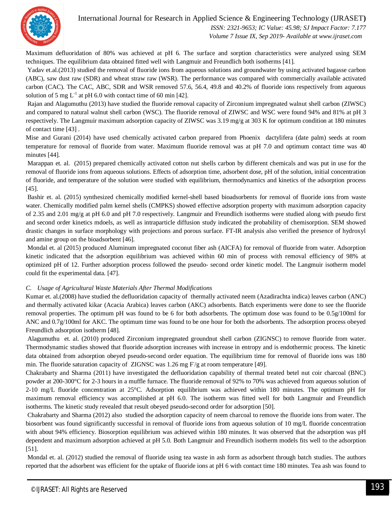

 *ISSN: 2321-9653; IC Value: 45.98; SJ Impact Factor: 7.177 Volume 7 Issue IX, Sep 2019- Available at www.ijraset.com*

Maximum defluoridation of 80% was achieved at pH 6. The surface and sorption characteristics were analyzed using SEM techniques. The equilibrium data obtained fitted well with Langmuir and Freundlich both isotherms [41].

Yadav et.al.(2013) studied the removal of fluoride ions from aqueous solutions and groundwater by using activated bagasse carbon (ABC), saw dust raw (SDR) and wheat straw raw (WSR). The performance was compared with commercially available activated carbon (CAC). The CAC, ABC, SDR and WSR removed 57.6, 56.4, 49.8 and 40.2% of fluoride ions respectively from aqueous solution of 5 mg  $L^{-1}$  at pH 6.0 with contact time of 60 min [42].

Rajan and Alagumuthu (2013) have studied the fluoride removal capacity of Zirconium impregnated walnut shell carbon (ZIWSC) and compared to natural walnut shell carbon (WSC). The fluoride removal of ZIWSC and WSC were found 94% and 81% at pH 3 respectively. The Langmuir maximum adsorption capacity of ZIWSC was 3.19 mg/g at 303 K for optimum condition at 180 minutes of contact time [43] .

Mise and Gurani (2014) have used chemically activated carbon prepared from Phoenix dactylifera (date palm) seeds at room temperature for removal of fluoride from water. Maximum fluoride removal was at pH 7.0 and optimum contact time was 40 minutes [44].

Marappan et. al. (2015) prepared chemically activated cotton nut shells carbon by different chemicals and was put in use for the removal of fluoride ions from aqueous solutions. Effects of adsorption time, adsorbent dose, pH of the solution, initial concentration of fluoride, and temperature of the solution were studied with equilibrium, thermodynamics and kinetics of the adsorption process [45].

Bashir et. al. (2015) synthesized chemically modified kernel-shell based bioadsorbents for removal of fluoride ions from waste water. Chemically modified palm kernel shells (CMPKS) showed effective adsorption property with maximum adsorption capacity of 2.35 and 2.01 mg/g at pH 6.0 and pH 7.0 respectively. Langmuir and Freundlich isotherms were studied along with pseudo first and second order kinetics mdoels, as well as intraparticle diffusion study indicated the probability of chemisorption. SEM showed drastic changes in surface morphology with projections and porous surface. FT-IR analysis also verified the presence of hydroxyl and amine group on the bioadsorbent [46].

Mondal et. al (2015) produced Aluminum impregnated coconut fiber ash (AICFA) for removal of fluoride from water. Adsorption kinetic indicated that the adsorption equilibrium was achieved within 60 min of process with removal efficiency of 98% at optimized pH of 12. Further adsorption process followed the pseudo- second order kinetic model. The Langmuir isotherm model could fit the experimental data. [47].

#### *C. Usage of Agricultural Waste Materials After Thermal Modifications*

Kumar et. al.(2008) have studied the defluoridation capacity of thermally activated neem (Azadirachta indica) leaves carbon (ANC) and thermally activated kikar (Acacia Arabica) leaves carbon (AKC) adsorbents. Batch experiments were done to see the fluoride removal properties. The optimum pH was found to be 6 for both adsorbents. The optimum dose was found to be 0.5g/100ml for ANC and 0.7g/100ml for AKC. The optimum time was found to be one hour for both the adsorbents. The adsorption process obeyed Freundlich adsorption isotherm [48].

Alagumuthu et. al. (2010) produced Zirconium impregnated groundnut shell carbon (ZIGNSC) to remove fluoride from water. Thermodynamic studies showed that fluoride adsorption increases with increase in entropy and is endothermic process. The kinetic data obtained from adsorption obeyed pseudo-second order equation. The equilibrium time for removal of fluoride ions was 180 min. The fluoride saturation capacity of ZIGNSC was 1.26 mg F/g at room temperature [49].

Chakrabarty and Sharma (2011) have investigated the defluoridation capability of thermal treated betel nut coir charcoal (BNC) powder at 200-300°C for 2-3 hours in a muffle furnace. The fluoride removal of 92% to 70% was achieved from aqueous solution of 2-10 mg/L fluoride concentration at 25°C. Adsorption equilibrium was achieved within 180 minutes. The optimum pH for maximum removal efficiency was accomplished at pH 6.0. The isotherm was fitted well for both Langmuir and Freundlich isotherms. The kinetic study revealed that result obeyed pseudo-second order for adsorption [50].

Chakrabarty and Sharma (2012) also studied the adsorption capacity of neem charcoal to remove the fluoride ions from water. The biosorbent was found significantly successful in removal of fluoride ions from aqueous solution of 10 mg/L fluoride concentration with about 94% efficiency. Biosorption equilibrium was achieved within 180 minutes. It was observed that the adsorption was pH dependent and maximum adsorption achieved at pH 5.0. Both Langmuir and Freundlich isotherm models fits well to the adsorption [51].

Mondal et. al. (2012) studied the removal of fluoride using tea waste in ash form as adsorbent through batch studies. The authors reported that the adsorbent was efficient for the uptake of fluoride ions at pH 6 with contact time 180 minutes. Tea ash was found to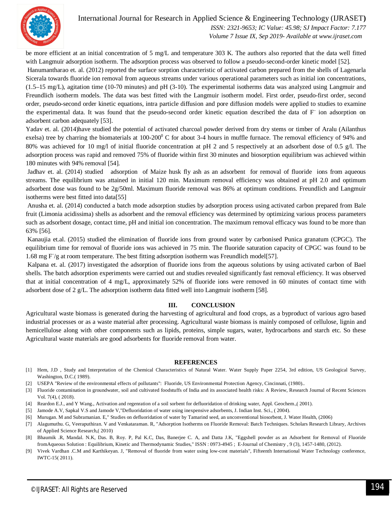

 *ISSN: 2321-9653; IC Value: 45.98; SJ Impact Factor: 7.177 Volume 7 Issue IX, Sep 2019- Available at www.ijraset.com*

be more efficient at an initial concentration of 5 mg/L and temperature 303 K. The authors also reported that the data well fitted with Langmuir adsorption isotherm. The adsorption process was observed to follow a pseudo-second-order kinetic model [52]. Hanumantharao et. al. (2012) reported the surface sorption characteristic of activated carbon prepared from the shells of Lagenarla

Sicerala towards fluoride ion removal from aqueous streams under various operational parameters such as initial ion concentrations, (1.5–15 mg/L), agitation time (10-70 minutes) and pH (3-10). The experimental isotherms data was analyzed using Langmuir and Freundlich isotherm models. The data was best fitted with the Langmuir isotherm model. First order, pseudo-first order, second order, pseudo-second order kinetic equations, intra particle diffusion and pore diffusion models were applied to studies to examine the experimental data. It was found that the pseudo-second order kinetic equation described the data of F ion adsorption on adsorbent carbon adequately [53].

Yadav et. al. (2014)have studied the potential of activated charcoal powder derived from dry stems or timber of Aralu (Ailanthus exelsa) tree by charring the biomaterials at  $100-200^{\circ}$  C for about 3-4 hours in muffle furnace. The removal efficiency of 94% and 80% was achieved for 10 mg/l of initial fluoride concentration at pH 2 and 5 respectively at an adsorbent dose of 0.5 g/l. The adsorption process was rapid and removed 75% of fluoride within first 30 minutes and biosorption equilibrium was achieved within 180 minutes with 94% removal [54].

Jadhav et. al. (2014) studied adsorption of Maize husk fly ash as an adsorbent for removal of fluoride ions from aqueous streams. The equilibrium was attained in initial 120 min. Maximum removal efficiency was obtained at pH 2.0 and optimum adsorbent dose was found to be 2g/50ml. Maximum fluoride removal was 86% at optimum conditions. Freundlich and Langmuir isotherms were best fitted into data[55]

Anusha et. al. (2014) conducted a batch mode adsorption studies by adsorption process using activated carbon prepared from Bale fruit (Limonia acidissima) shells as adsorbent and the removal efficiency was determined by optimizing various process parameters such as adsorbent dosage, contact time, pH and initial ion concentration. The maximum removal efficacy was found to be more than 63% [56].

Kanaujia et.al. (2015) studied the elimination of fluoride ions from ground water by carbonised Punica granatum (CPGC). The equilibrium time for removal of fluoride ions was achieved in 75 min. The fluoride saturation capacity of CPGC was found to be 1.68 mg F/g at room temperature. The best fitting adsorption isotherm was Freundlich model[57].

Kalpana et. al. (2017) investigated the adsorption of fluoride ions from the aqueous solutions by using activated carbon of Bael shells. The batch adsorption experiments were carried out and studies revealed significantly fast removal efficiency. It was observed that at initial concentration of 4 mg/L, approximately 52% of fluoride ions were removed in 60 minutes of contact time with adsorbent dose of 2 g/L. The adsorption isotherm data fitted well into Langmuir isotherm [58].

#### **III. CONCLUSION**

Agricultural waste biomass is generated during the harvesting of agricultural and food crops, as a byproduct of various agro based industrial processes or as a waste material after processing. Agricultural waste biomass is mainly composed of cellulose, lignin and hemicellulose along with other components such as lipids, proteins, simple sugars, water, hydrocarbons and starch etc. So these Agricultural waste materials are good adsorbents for fluoride removal from water.

#### **REFERENCES**

- [1] Hem, J.D , Study and Interpretation of the Chemical Characteristics of Natural Water. Water Supply Paper 2254, 3rd edition, US Geological Survey, Washington, D.C.( 1989).
- [2] USEPA "Review of the environmental effects of pollutants": Fluoride, US Environmental Protection Agency, Cincinnati, (1980)..
- [3] Fluoride contamination in groundwater, soil and cultivated foodstuffs of India and its associated health risks: A Review, Research Journal of Recent Sciences Vol. 7(4), ( 2018).
- [4] Reardon E.J., and Y Wang., Activation and regenration of a soil sorbent for defluoridation of drinking water, Appl. Geochem.,( 2001).
- [5] Jamode A.V, Sapkal V.S and Jamode V,"Defluoridation of water using inexpensive adsorbents, J. Indian Inst. Sci., ( 2004).
- [6] Murugan. M and Subramanian. E," Studies on defluoridation of water by Tamarind seed, an unconventional biosorbent, J. Water Health, (2006)
- [7] Alagumuthu. G, Veeraputhiran. V and Venkataraman. R, "Adsorption Isotherms on Fluoride Removal: Batch Techniques. Scholars Research Library, Archives of Applied Science Research,( 2010)
- [8] Bhaumik .R, Mandal. N.K, Das. B, Roy. P, Pal K.C, Das, Banerjee C. A, and Datta J.K, "Eggshell powder as an Adsorbent for Removal of Fluoride fromAqueous Solution : Equilibrium, Kinetic and Thermodynamic Studies," ISSN : 0973-4945 ; E-Journal of Chemistry , 9 (3), 1457-1480, (2012).
- [9] Vivek Vardhan .C.M and Karthikeyan. J, "Removal of fluoride from water using low-cost materials", Fifteenth International Water Technology conference, IWTC-15( 2011).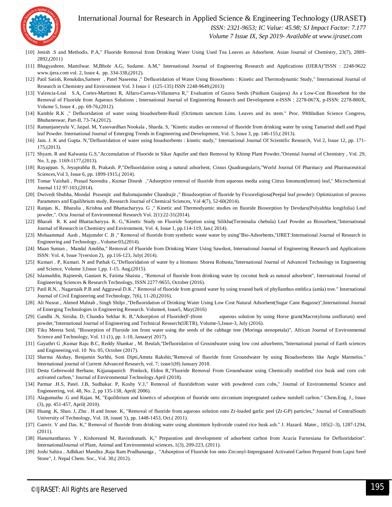

 *ISSN: 2321-9653; IC Value: 45.98; SJ Impact Factor: 7.177*

 *Volume 7 Issue IX, Sep 2019- Available at www.ijraset.com*

- [10] Jenish .S and Methodis. P.A," Fluoride Removal from Drinking Water Using Used Tea Leaves as Adsorbent. Asian Journal of Chemistry, 23(7), 2889-2892,(2011)
- [11] Bhagyashree, Mamilwar. M,Bhole A.G, Sudame. A.M," International Journal of Engineering Research and Applications (IJERA)"ISSN : 2248-9622 www.ijera.com vol. 2, Issue 4, pp. 334-338,(2012).
- [12] Patil Satish, Renukdas,Sameer, Patel Naseema ," Defluoridation of Water Using Biosorbents : Kinetic and Thermodynamic Study," International Journal of Research in Chemistry and Environment Vol. 3 Issue 1 (125-135) ISSN 2248-9649,(2013)
- [13] Valencia-Leal S.A, Cortes-Martinez R, Alfaro-Cuevas-Villanueva R," Evaluation of Guava Seeds (Psidium Guajava) As a Low-Cost Biosorbent for the Removal of Fluoride from Aqueous Solutions ; International Journal of Engineering Research and Development e-ISSN : 2278-067X, p-ISSN: 2278-800X, Volume 5, Issue 4 , pp. 69-76,(2012).
- [14] Kamble R.K ," Defluoridation of water using bioadsorbent-Basil (Octimum sanctum Linn. Leaves and its stem." Proc. 99thIndian Science Congress, Bhubaneswar, Part-II, 73-74,(2012).
- [15] Ramanjaneyulu V, Jaipal. M, Yasovardhan Nookala , Sharda. S, "Kinetic studies on removal of fluoride from drinking water by using Tamarind shell and Pipal leaf Powder. International Journal of Emerging Trends in Engineering and Development, Vol. 5, Issue 3, pp. 146-155,( 2013).
- [16] Jain. J. K and Gupta. N,"Defluoridation of water using bioadsorbents : kinetic study," International Journal Of Scientific Research, Vol 2, Issue 12, pp. 171-175,(2013).
- [17] Shyam. R and Kalwania G.S,"Accumulation of Fluoride in Sikar Aquifer and their Removal by Khimp Plant Powder,"Oriental Journal of Chemistry , Vol. 29, No. 3, pp. 1169-1177,(2013).
- [18] Rayappan. S, Jeyaprabha B, Prakash. P,"Defluoridation using a natural adsorbent, Cissus Quadrangularis,"World Journal Of Pharmacy and Pharmaceutical Sciences,Vol 3, Issue 6, pp. 1899-1915,( 2014).
- [19] Tomar Vaishali , Prasad Surendra , Kumar Dinesh ,"Adsorptive removal of fluoride from aqueous media using Citrus limonum(lemon) leaf," Microchemical Journal 112 97-103,(2014).
- [20] Dwivedi Shubha, Mondal Prasenjit and Balomajumder Chandrajit ," Bioadsorption of fluoride by Ficusreligiosa(Peepal leaf powder): Optimization of process Parameters and Equilibrium study, Research Journal of Chemical Sciences, Vol 4(7), 52-60(2014).
- [21] Ranjan. K, Bharalia , Krishna and Bhattacharyya. G ," Kinetic and Thermodyamic studies on fluoride Biosorption by Devdaru(Polyalthia longifolia) Leaf powder,". Octa Journal of Environmental Research Vol. 2(1):22-31(2014).
- [22] Bharali R. K and Bhattacharyya. K. G,"Kinetic Study on Fluoride Sorption using Silikha(Terminalia chebula) Leaf Powder as Biosorbent,"International Journal of Research in Chemistry and Environment, Vol. 4, Issue 1, pp.114-119, Jan.( 2014).
- [23] Mohaammad Aash , Majumder C .B ," Removal of fluoride from synthetic waste water by using"Bio-Adsorbents,"IJRET:International Journal of Research in Engineering and Technology...Volume:03,(2014).
- [24] Maan Suman , Mandal Anubha," Removal of Fluoride from Drinking Water Using Sawdust, International Journal of Engineering Research and Applications ISSN: Vol. 4, Issue 7(version 2), pp.116-123, July( 2014).
- [25] Kumari . P, Kumari. N and Pathak G,"Defluoridation of water by a biomass: Shorea Robusta,"International Journal of Advanced Technology in Engineering and Science, Volume 3,Issue 1,pp. 1-15. Aug,(2015).
- [26] Islamuddin, Rajneesh, Gautam K, Fatima Shaista, "Removal of fluoride from drinking water by coconut husk as natural adsorbent", International Journal of Engineering Sciences & Research Technology, ISSN 2277-9655, October (2016).
- [27] Patil R.N, . Nagarnaik P.B and Aggrawal D.K," Removal of fluoride from ground water by using treated bark of phyllanthus emblica (amla) tree." International Journal of Civil Engineering and Technology, 7(6), 11-20,(2016).
- [28] Ali Nusrat , Ahmed Mahtab , Singh Shilpi ,"Defluoridation of Drinking Water Using Low Cost Natural Adsorbent(Sugar Cane Bagasse)",International Journal of Emerging Technologies in Engineering Research. Volume4, Issue5, May(2016)
- [29] Gandhi .N, Sirisha. D, Chandra Sekhar K. B,"Adsorption of Fluoride(F-)from aqueous solution by using Horse gram(Macrotyloma uniflorum) seed powder,"International Journal of Engineering and Technical Research(IJETR), Volume-5,Issue-3, July (2016).
- [30] Tiku Mereta Seid, "Biosorption of Fluroide ion from water using the seeds of the cabbage tree (Moringa stenopetala)", African Journal of Environmental Science and Technology, Vol. 11 (1), pp. 1-10, January( 2017).
- [31] Gayathri G ,Kumar Raju B.C, Reddy Shankar , M. Beulah,"Defluoridation of Groundwater using low cost adsorbents,"International journal of Earth sciences and Engineering,vol. 10 No. 05, October (2017).
- [32] Sharma Akshay, Benjamin Surbhi, Soni Dipti,Ameta Rakshit,"Removal of fluoride from Groundwater by using Bioadsorbents like Aegle Marmelos." International journal of Current Advanced Research, vol. 7; issue1(H) January 2018.
- [33] Desta Gebrewold Berhane, Kijjanapanich Pimluck, Eldon R,"Fluoride Removal From Groundwater using Chemically modified rice husk and corn cob activated carbon," Journal of Environmental Technology.April (2018).
- [34] Parmar .H.S, Patel. J.B, Sudhakar. P, Koshy V.J," Removal of fluoridefrom water with powdered corn cobs," Journal of Environmental Science and Engieneering, vol. 48, No. 2, pp 135-138, April( 2006).
- [35] Alagumuthu .G and Rajan. M, "Equilibrium and kinetics of adsorption of fluoride onto zirconium impregnated cashew nutshell carbon." Chem.Eng. J., Issue (3), pp. 451-457, April( 2010).
- [36] Huang .K, Shao. J, Zhu . H and Inoue. K, "Removal of fluoride from aqueous solution onto Zr-loaded garlic peel (Zr-GP) particles," Journal of CentralSouth University of Technology, Vol. 18, issue( 5), pp. 1448-1453, Oct.( 2011).
- [37] Ganvir. V and Das. K," Removal of fluoride from drinking water using alumimum hydroxide coated rice husk ash." J. Hazard. Mater., 185(2–3), 1287-1294, (2011).
- [38] Hanumantharao. Y , Kishoreand M, Ravindranath. K," Preparation and development of adsorbent carbon from Acacia Farnesiana for Defluoridation". InternationalJournal of Plant, Animal and Environmental sciences, 1(3), 209-223, (2011).
- [39] Joshi Sahira , Adhikari Mandira ,Raja Ram Pradhananga , "Adsorption of Fluoride Ion onto Zirconyl-Impregnated Activated Carbon Prepared from Lapsi Seed Stone", J. Nepal Chem. Soc., Vol. 30,( 2012).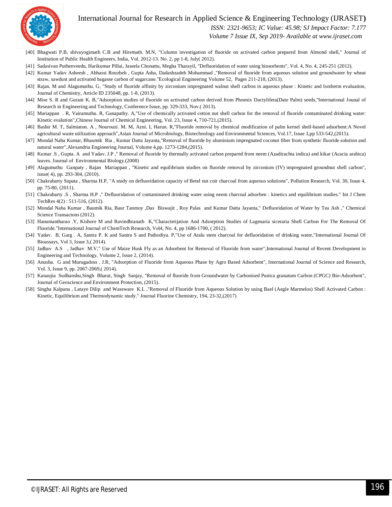

 *ISSN: 2321-9653; IC Value: 45.98; SJ Impact Factor: 7.177*

 *Volume 7 Issue IX, Sep 2019- Available at www.ijraset.com*

- [40] Bhagwati P.B, shivayogimath C.B and Hiremath. M.N, "Column investigation of fluoride on activated carbon prepared from Almond shell," Journal of Institution of Public Health Engineers, India, Vol. 2012-13. No. 2, pp 1-8, July( 2012).
- [41] Sadasivan Puthenveedu, Harikumar Pillai, Jaseela Chonattu, Megha Tharayil, "Defluoridation of water using biosorbents", Vol. 4, No. 4, 245-251 (2012).
- [42] Kumar Yadav Asheesh , Abbassi Rouzbeh , Gupta Asha, Dadashzadeh Mohammad ,"Removal of fluoride from aqueous solution and groundwater by wheat straw, sawdust and activated bagasse carbon of sugarcane."Ecological Engineering Volume 52, Pages 211-218, (2013).
- [43] Rajan. M and Alagumuthu. G, "Study of fluoride affinity by zirconium impregnated walnut shell carbon in aqueous phase : Kinetic and Isotherm evaluation, Journal of Chemistry, Article ID 235048, pp. 1-8, (2013).
- [44] Mise S. R and Gurani K. B,"Adsorption studies of fluoride on activated carbon derived from Phoenix Dactylifera(Date Palm) seeds,"International Jounal of Research in Engineering and Technology, Conference Issue, pp. 329-333, Nov.( 2013).
- [45] Mariappan . R, Vairamuthu. R, Ganapathy. A,"Use of chemically activated cotton nut shell carbon for the removal of fluoride contaminated drinking water: Kinetic evalution",Chinese Journal of Chemical Engineering, Vol. 23, Issue 4, 710-721,(2015).
- [46] Bashir M. T, Salmiaton. A , Nourouzi. M. M, Azni. I, Harun. R,"Fluoride removal by chemical modification of palm kernel shell-based adsorbent:A Novel agricultural waste utilization approach",Asian Journal of Microbiology, Biotechnology and Environmental Sciences, Vol.17, Issue 3,pp 533-542,(2015).
- [47] Mondal Naba Kumar, Bhaumik Ria , Kumar Datta Jayanta,"Removal of fluoride by aluminium impregnated coconut fiber from synthetic fluoride solution and natural water",Alexandria Engineering Journal, Volume 4,pp. 1273-1284,(2015).
- [48] Kumar .S , Gupta. A and Yadav. J.P ," Removal of fluoride by thermally activated carbon prepared from neem (Azadirachta indica) and kikar (Acacia arabica) leaves. Journal of Environmental Biology.(2008)
- [49] Alagumuthu Ganpaty , Rajan Mariappan , "Kinetic and equilibrium studies on fluoride removal by zirconium (IV) impregnated groundnut shell carbon", issue( 4), pp. 293-304, (2010).
- [50] Chakrabarty Supata, Sharma H.P, "A study on defluoridation capacity of Betel nut coir charcoal from aqueous solutions", Pollution Research, Vol. 30, Issue 4, pp. 75-80, (2011).
- [51] Chakrabarty .S , Sharma H.P ," Defluoridation of contaminated drinking water using neem charcoal adsorben : kinetics and equilibrium studies." Int J Chem TechRes 4(2) : 511-516, (2012).
- [52] Mondal Naba Kumar , Baumik Ria, Baur Tanmoy ,Das Biswajit , Roy Palas and Kumar Datta Jayanta," Defluoridation of Water by Tea Ash ," Chemical Science Transactons (2012).
- [53] Hanumantharao .Y, Kishore M and Ravindhranath K,"Characterijation And Adsorption Studies of Lagenaria siceraria Shell Carbon For The Removal Of Fluoride."International Journal of ChemTech Research, Vol4, No. 4, pp 1686-1700, ( 2012).
- [54] Yadav. B, Garg . A, Santra P. K and Santra S and Pathodiya. P,"Use of Aralu stem charcoal for defluoridation of drinking water,"International Journal Of Bioassays, Vol 3, Issue 3,( 2014).
- [55] Jadhav A.S , Jadhav M.V," Use of Maize Husk Fly as an Adsorbent for Removal of Fluoride from water",International Journal of Recent Development in Engineering and Technology, Volume 2, Issue 2, (2014).
- [56] Anusha. G and Murugadoss . J.R, "Adsorption of Fluoride from Aqueous Phase by Agro Based Adsorbent", International Journal of Science and Research, Vol. 3, Issue 9, pp. 2067-2069,( 2014).
- [57] Kanaujia Sudhanshu,Singh Bharat, Singh Sanjay, "Removal of fluoride from Groundwater by Carbonised Punica granatum Carbon (CPGC) Bio-Adsorbent", Journal of Geoscience and Environment Protection, (2015).
- [58] Singha Kalpana , Lataye Dilip and Waseware K.L ,"Removal of Fluoride from Aqueous Solution by using Bael (Aegle Marmelos) Shell Activated Carbon : Kinetic, Equilibrium and Thermodynamic study." Journal Fluorine Chemistry, 194, 23-32,(2017)